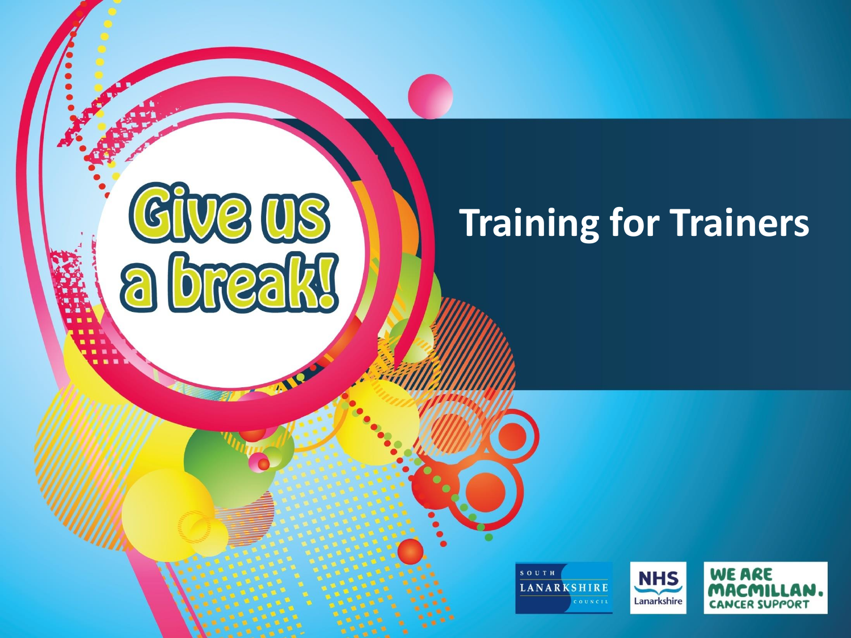### **Ve US**  $\lvert G\rvert$ a break

### **Training for Trainers**



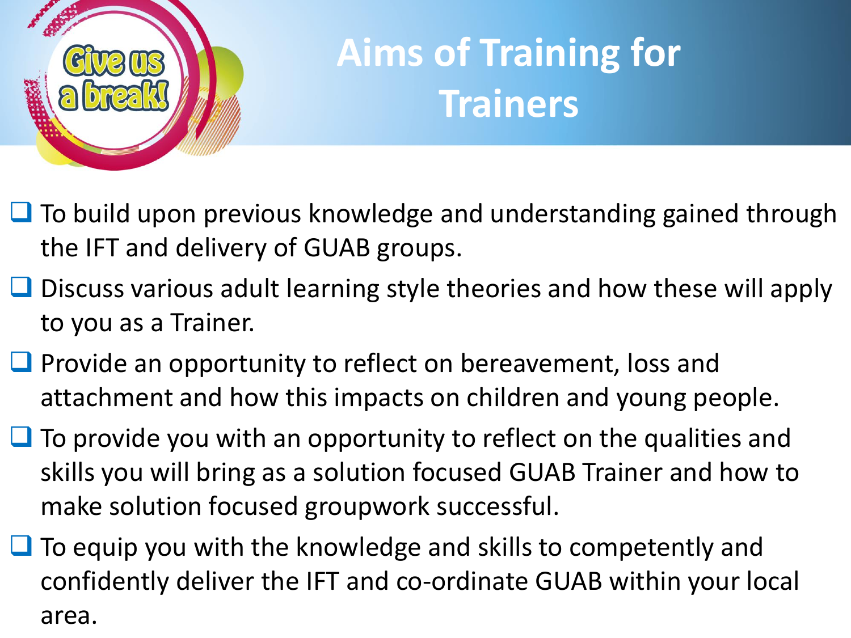

### **Aims of Training for Trainers**

- $\Box$  To build upon previous knowledge and understanding gained through the IFT and delivery of GUAB groups.
- $\Box$  Discuss various adult learning style theories and how these will apply to you as a Trainer.
- $\Box$  Provide an opportunity to reflect on bereavement, loss and attachment and how this impacts on children and young people.
- $\Box$  To provide you with an opportunity to reflect on the qualities and skills you will bring as a solution focused GUAB Trainer and how to make solution focused groupwork successful.
- $\Box$  To equip you with the knowledge and skills to competently and confidently deliver the IFT and co-ordinate GUAB within your local area.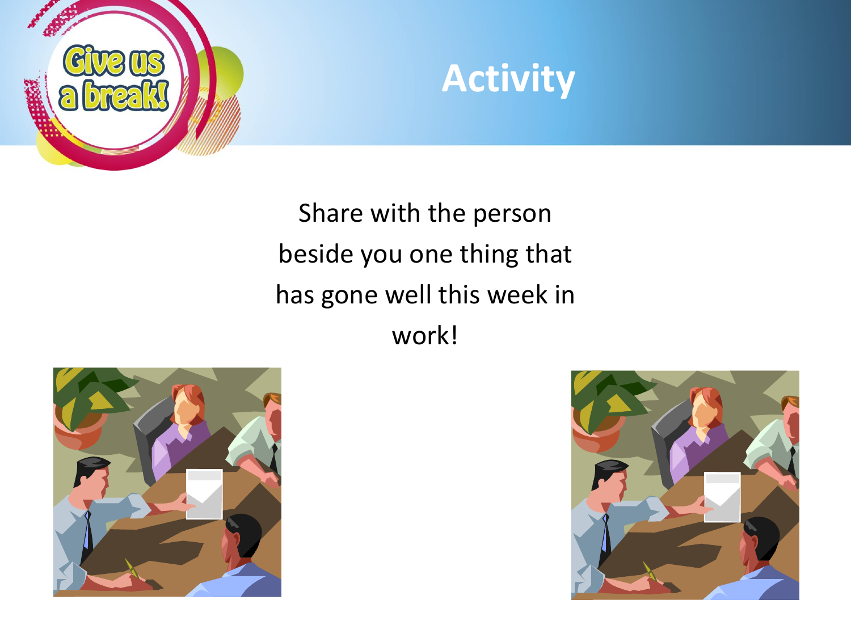



Share with the person beside you one thing that has gone well this week in work!



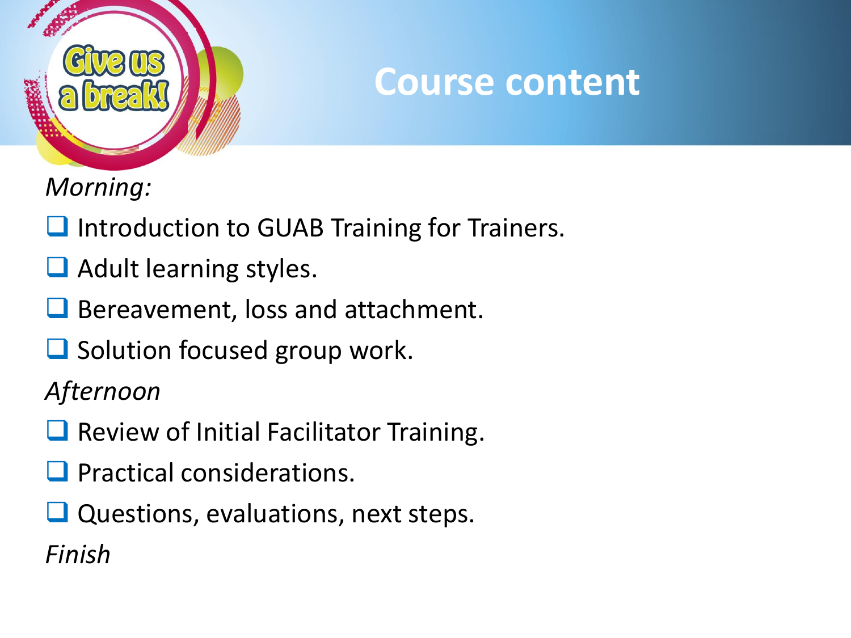

#### **Course content**

*Morning:*

- **Q** Introduction to GUAB Training for Trainers.
- $\Box$  Adult learning styles.
- Bereavement, loss and attachment.
- $\Box$  Solution focused group work.

*Afternoon*

- **Q** Review of Initial Facilitator Training.
- **Q** Practical considerations.
- $\Box$  Questions, evaluations, next steps.

*Finish*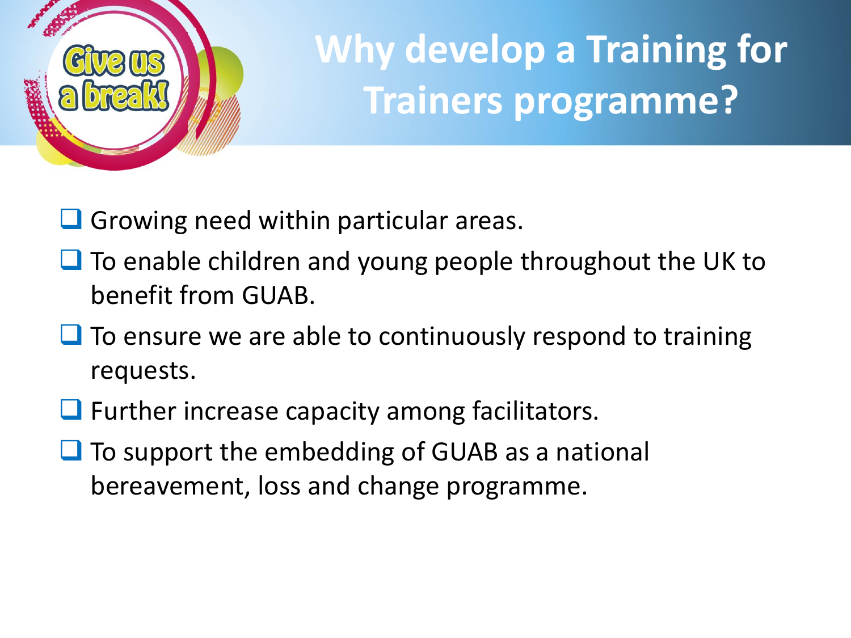

## **Why develop a Training for Trainers programme?**

- $\Box$  Growing need within particular areas.
- $\Box$  To enable children and young people throughout the UK to benefit from GUAB.
- $\Box$  To ensure we are able to continuously respond to training requests.
- $\Box$  Further increase capacity among facilitators.
- $\Box$  To support the embedding of GUAB as a national bereavement, loss and change programme.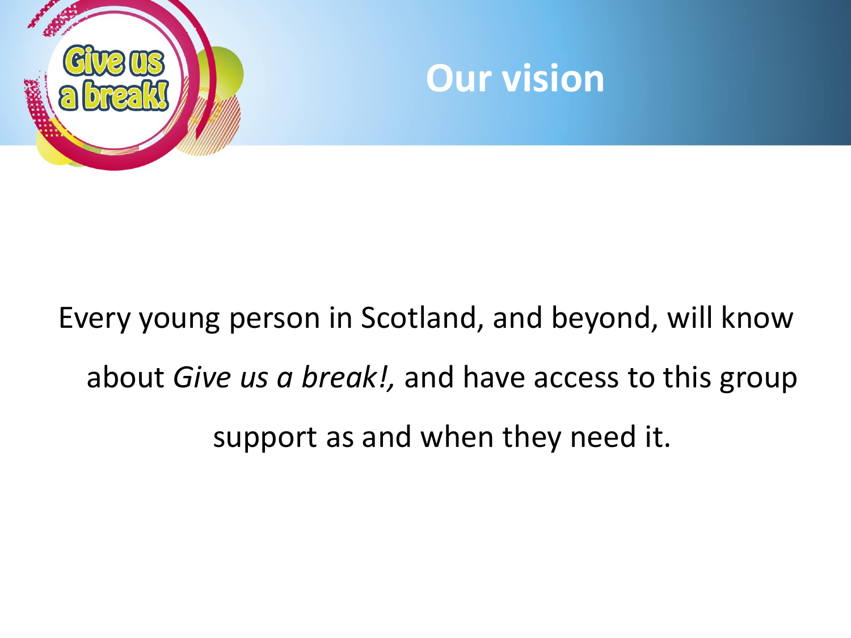



## Every young person in Scotland, and beyond, will know about *Give us a break!,* and have access to this group support as and when they need it.